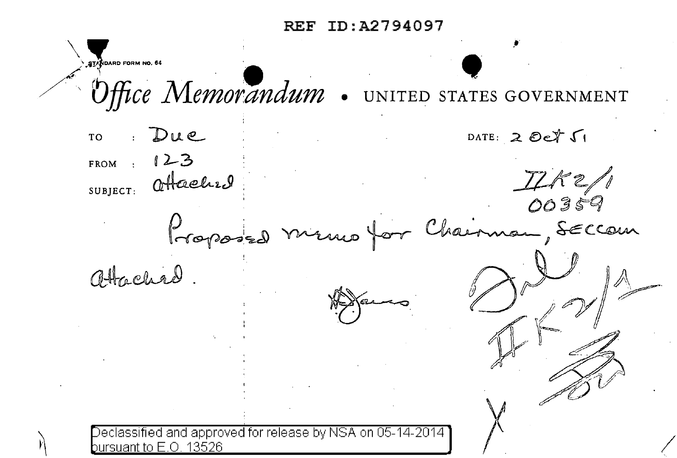REF ID:A2794097 ~\ .f!~ DARD FORM NO, 64 ', • / \ - e - /- , *Office Memorandum* • uNrTED sTATEs GovERNMENT "Due\_ DATE:  $20e^{r}$   $\sqrt{1}$ TO  $123$ FROM  $\sim 10$ *o4:a.etq.J1* : -  $H$ R 2 SUBJECT:  $00359$ Proposed memo for Chairman, SECCOM a40t-~. eclassified and approved for release by NSA on 05-14-2014  $\overline{\mathcal{C}}$ bursuant to  $\mathsf E_\cdot$ O\_ 13526.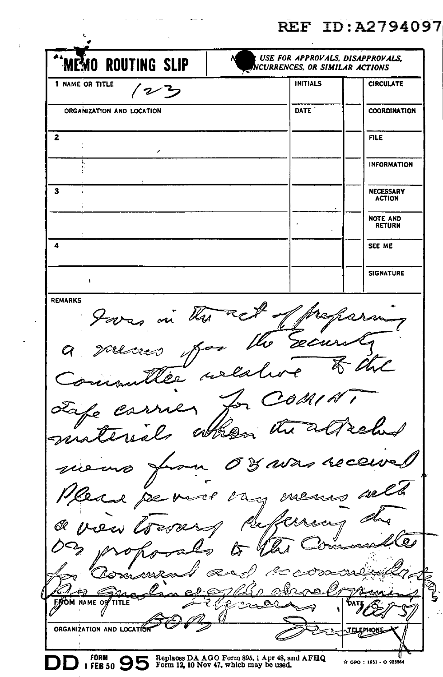# REF ID:A2794097

| <b>D ROUTING SLIP</b>               | USE FOR APPROVALS, DISAPPROVALS,<br>NCURRENCES, OR SIMILAR ACTIONS |                                   |
|-------------------------------------|--------------------------------------------------------------------|-----------------------------------|
| 1 NAME OR TITLE<br>$\boldsymbol{z}$ | <b>INITIALS</b>                                                    | <b>CIRCULATE</b>                  |
| ORGANIZATION AND LOCATION           | DATE <sup>1</sup>                                                  | <b>COORDINATION</b>               |
| $\mathbf{z}$<br>í                   |                                                                    | <b>FILE</b>                       |
|                                     |                                                                    | <b>INFORMATION</b>                |
| 3                                   |                                                                    | <b>NECESSARY</b><br><b>ACTION</b> |
|                                     |                                                                    | <b>NOTE AND</b><br><b>RETURN</b>  |
| 4                                   |                                                                    | SEE ME                            |
|                                     |                                                                    | <b>SIGNATURE</b>                  |
|                                     | men for COMIN<br>the<br>athen                                      | rehad                             |
| uno from Ogas                       |                                                                    | as received                       |
| leave permane van menis with        |                                                                    |                                   |
|                                     |                                                                    |                                   |
|                                     |                                                                    |                                   |
|                                     |                                                                    |                                   |
| <b>TITLE</b><br><b>FROM NAME OR</b> |                                                                    | 'DATI                             |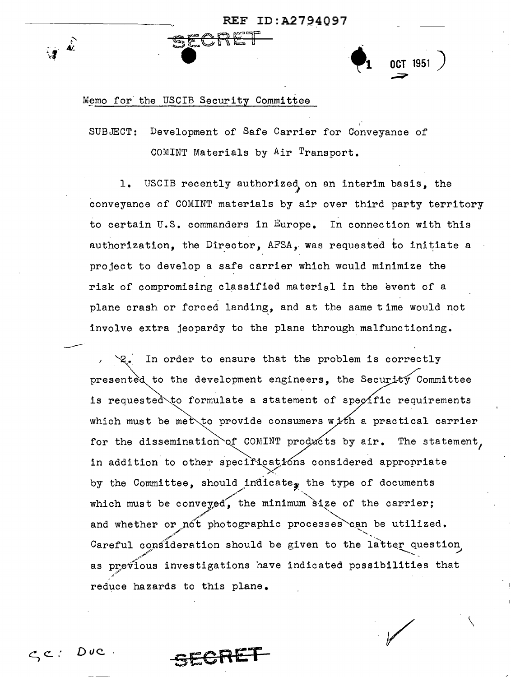# REF ID:A2794Q97

**OCT** 1951

 $\setminus$ 

<sup>~</sup>•. v **·'1** 

## Memo for the USCIB Security Committee

e; we compete

SUBJECT: Development of Safe Carrier for Conveyance of COMINT Materials by Air Transport.

1. USCIB recently authorized on an interim basis, the conveyance of COMINT materials by air over third party territory to certain U.S. commanders in Europe. In connection with this authorization, the Director, AFSA, was requested to initiate a project to develop a safe carrier which would minimize the risk of compromising classified material in the event of a plane crash or forced landing, and at the same time would not involve extra jeopardy to the plane through malfunctioning.

In order to ensure that the problem is correctly presented to the development engineers, the Security Committee is requested to formulate a statement of specific requirements which must be met to provide consumers with a practical carrier for the dissemination of COMINT products by air. The statement, in addition to other specifications considered appropriate by the Committee, should indicate, the type of documents which must be conveyed, the minimum size of the carrier; and whether or not photographic processes can be utilized. Careful consideration should be given to the latter question as previous investigations have indicated possibilities that 7 ; reduce hazards to this plane.

<sup>D</sup>cJC . **SECRET**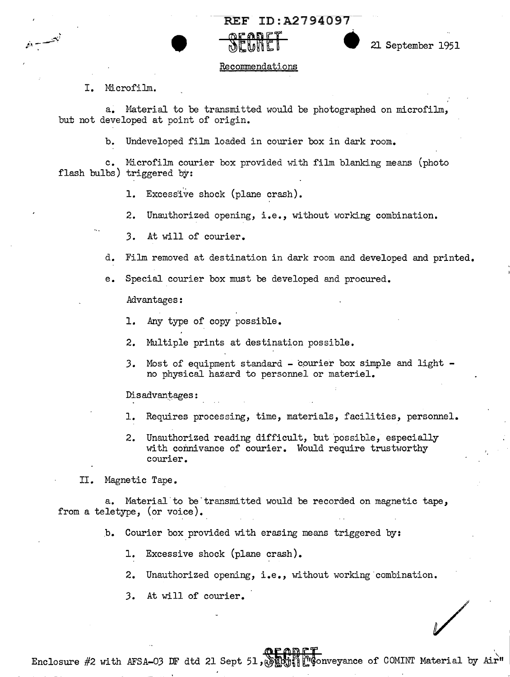

# REF ID:A2794097 **FREE ID:A2794097<br>• SECRET 21 September 1951**<br>Recommendations

/

#### Recommendations

### I. Microfilm.

a. Material to be transmitted would be photographed on microfilm, but not developed at point of origin.

b. Undeveloped film loaded in courier box in dark room.

c. Microfilm courier box provided with film blanking means (photo flash bulbs) triggered by:

- 1. Excessive shock (plane crash).
- 2. Unauthorized opening, i.e., without working combination.

3. At will of courier.

- d. Film removed at destination in dark room and developed and printed.
- e. Special courier box must be developed and procured.

Advantages:

1. Any type of copy possible.

- 2. Multiple prints at destination possible.
- 3. Most of equipment standard courier box simple and light no physical hazard to personnel or materiel.

Disadvantages:

- 1. Requires processing, time, materials, facilities, personnel.
- 2. Unauthorized reading difficult, but possible, especially with connivance of courier. Would require trustworthy courier.

II. Magnetic Tape.

a. Material to be transmitted would be recorded on magnetic tape, from a teletype, (or voice).

. b. Courier box provided with erasing means triggered by:

- 1. Excessive shock (plane crash).
- 2. Unauthorized opening, i.e., without working·combination.
- 3. At will of courier.

Enclosure #2 with AFSA-03 DF dtd 21 Sept 51,  $\frac{1}{2}$ .  $\frac{1}{2}$  ( $\frac{1}{2}$  onveyance of COMINT Material by Air"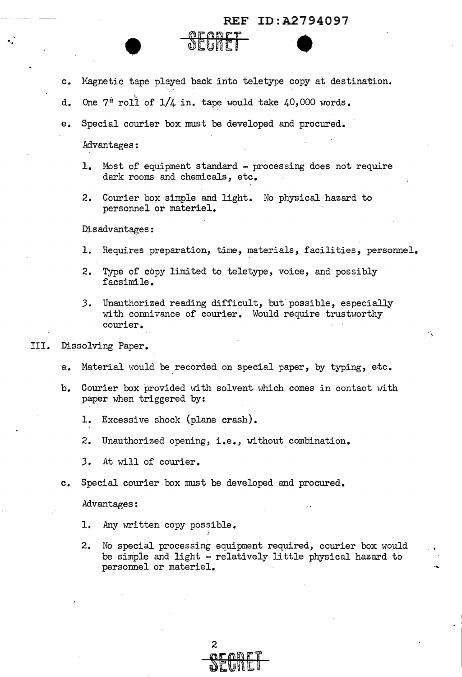#### REF ID:A2794097

••

- c. Magnetic tape played back into teletype copy at destination.
- d. One  $7<sup>ii</sup>$  roll of  $1/4$  in. tape would take  $40,000$  words.

**AFADET** 

e. Special courier box must be developed and procured •

.Advantages:

· ......

- 1. Most of equipment standard processing does not require dark rooms and chemicals, etc.
- 2. Courier box simple and light. No physical hazard to personnel or materiel.

Disadvantages:

- 1. Requires preparation, time, materials, facilities, personnel.
- 2. Type of copy limited to teletype, voice, and possibly facsimile.
- 3. Unauthorized reading difficult, but possible, especially with connivance of courier. Would require trustworthy courier.

#### III. Dissolving Paper.

- a. Material would be recorded on special paper, by typing, etc.
- b. Courier box provided with solvent-which comes in contact with paper when triggered by:
	- 1. Excessive shock (plane crash).
	- 2. Unauthorized opening, i.e., without combination.
	- 3. At will of courier.
- c. Special courier box must be developed and procured •

I

#### .Advantages:

- 1. Any written copy possible.
- 2. No special processing equipment required, courier box would be simple and light - relatively little physical hazard to personnel or materiel.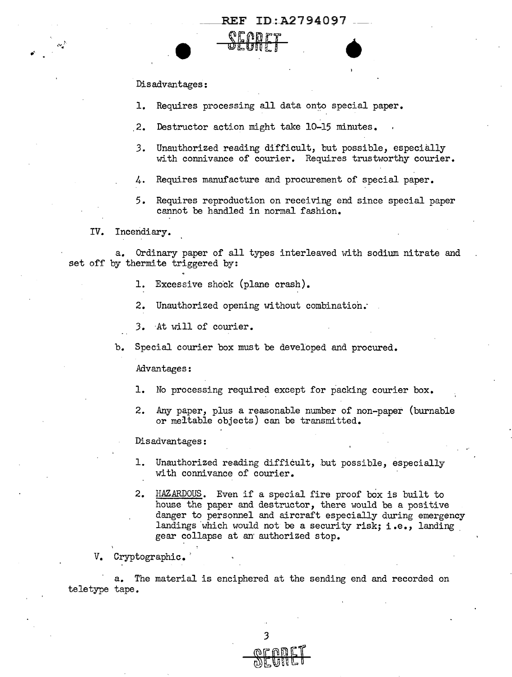Disadvantages:

1. Requires processing all data onto special paper.

~ SECRET ~

- . 2. Destructor action might take 10-15 minutes.
- 3. Unauthorized reading difficult, but possible, especially with connivance of courier. Requires trustworthy courier.
- 4. Requires manufacture and procurement of special paper.
- 5. Requires reproduction on receiving end since special paper cannot be handled in normal fashion.

IV. Incendiary.

a. Ordinary paper of all types interleaved with sodium nitrate and set off by thermite triggered by:

- 1. Excessive shock (plane crash).
- 2. Unauthorized opening without combination.·
- 3. ·At will of courier.
- b. Special courier box must be developed and procured •

.Advantages:

- 1. No processing required except for packing courier box.
- 2. Any paper, plus a reasonable number of non-paper (burnable or meltable objects) can be transmitted.

Disadvantages:

- 1. Unauthorized reading difficult, but possible, especially with connivance of courier.
- 2. HAZARDOUS. Even if a special fire proof box is built to house the paper and destructor, there would be a positive danger to personnel and aircraft especially during emergency landings which would not be a security risk; i.e., landing gear collapse at an authorized stop.

v. Cryptographic. '

a. The material is enciphered at the sending end and recorded on teletype tape.